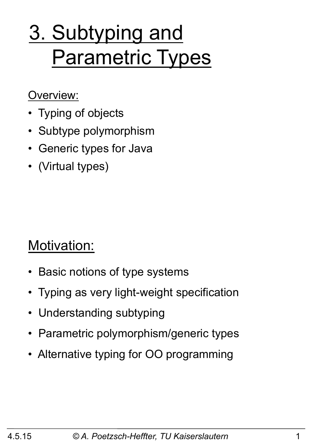# 3. Subtyping and Parametric Types

#### Overview:

- Typing of objects
- Subtype polymorphism
- Generic types for Java
- (Virtual types)

#### Motivation:

- Basic notions of type systems
- Typing as very light-weight specification
- Understanding subtyping
- Parametric polymorphism/generic types
- Alternative typing for OO programming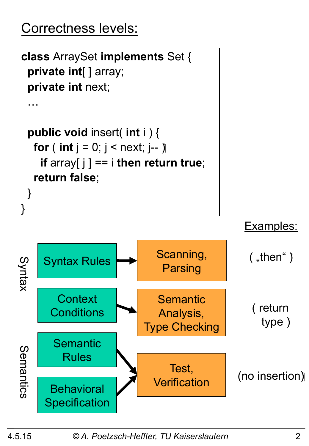# Correctness levels:

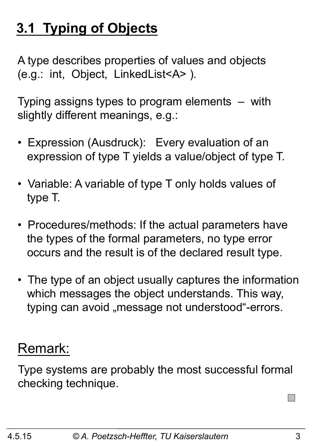# **3.1 Typing of Objects**

A type describes properties of values and objects (e.g.: int, Object, LinkedList<A> ).

Typing assigns types to program elements – with slightly different meanings, e.g.:

- Expression (Ausdruck): Every evaluation of an expression of type T yields a value/object of type T.
- Variable: A variable of type T only holds values of type T.
- Procedures/methods: If the actual parameters have the types of the formal parameters, no type error occurs and the result is of the declared result type.
- The type of an object usually captures the information which messages the object understands. This way, typing can avoid "message not understood"-errors.

#### Remark:

Type systems are probably the most successful formal checking technique.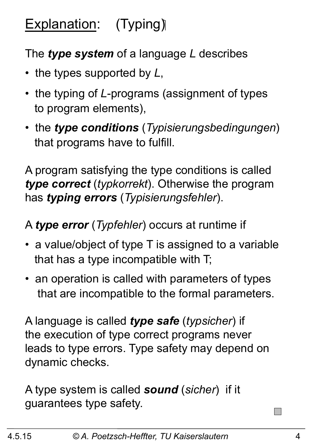# Explanation: (Typing)

#### The *type system* of a language *L* describes

- the types supported by *L*,
- the typing of *L*-programs (assignment of types to program elements),
- the *type conditions* (*Typisierungsbedingungen*) that programs have to fulfill.

A program satisfying the type conditions is called *type correct* (*typkorrekt*). Otherwise the program has *typing errors* (*Typisierungsfehler*).

A *type error* (*Typfehler*) occurs at runtime if

- a value/object of type T is assigned to a variable that has a type incompatible with T;
- an operation is called with parameters of types that are incompatible to the formal parameters.

A language is called *type safe* (*typsicher*) if the execution of type correct programs never leads to type errors. Type safety may depend on dynamic checks.

A type system is called *sound* (*sicher*) if it guarantees type safety.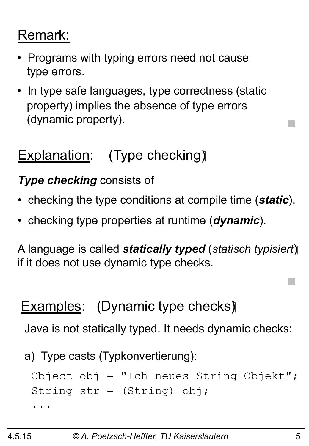# Remark:

- Programs with typing errors need not cause type errors.
- In type safe languages, type correctness (static property) implies the absence of type errors (dynamic property).

# Explanation: (Type checking)

#### *Type checking* consists of

- checking the type conditions at compile time (*static*),
- checking type properties at runtime (*dynamic*).

A language is called *statically typed* (*statisch typisiert*) if it does not use dynamic type checks.

## Examples: (Dynamic type checks)

Java is not statically typed. It needs dynamic checks:

a) Type casts (Typkonvertierung):

```
 Object obj = "Ich neues String-Objekt"; 
  String str = (String) obj; 
 ...
```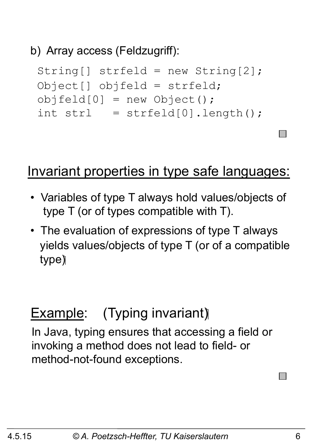#### b) Array access (Feldzugriff):

```
 String[] strfeld = new String[2]; 
 Object[] objfeld = strfeld; 
objfeld[0] = new Object();
int strl = strfeld[0].length();
```
#### Invariant properties in type safe languages:

- Variables of type T always hold values/objects of type T (or of types compatible with T).
- The evaluation of expressions of type T always yields values/objects of type T (or of a compatible type)

#### **Example:** (Typing invariant)

In Java, typing ensures that accessing a field or invoking a method does not lead to field- or method-not-found exceptions.

 $\mathcal{L}^{\text{max}}$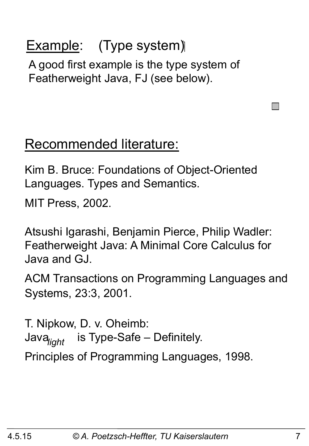# **Example:** (Type system)

A good first example is the type system of Featherweight Java, FJ (see below).

#### Recommended literature:

Kim B. Bruce: Foundations of Object-Oriented Languages. Types and Semantics.

MIT Press, 2002.

Atsushi Igarashi, Benjamin Pierce, Philip Wadler: Featherweight Java: A Minimal Core Calculus for Java and GJ.

ACM Transactions on Programming Languages and Systems, 23:3, 2001.

T. Nipkow, D. v. Oheimb: is Type-Safe – Definitely. Principles of Programming Languages, 1998. *light* 

 $\Box$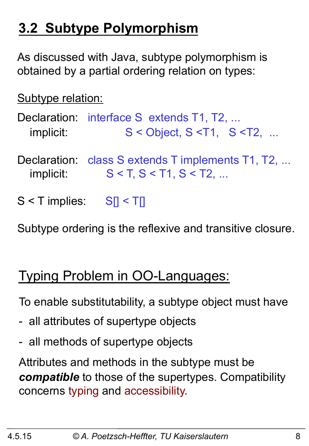# **3.2 Subtype Polymorphism**

As discussed with Java, subtype polymorphism is obtained by a partial ordering relation on types:

Subtype relation:

Declaration: interface S extends T1, T2, ... implicit:  $S <$  Object,  $S <$ T1,  $S <$ T2, ...

- Declaration: class S extends T implements T1, T2, ... implicit:  $S < T, S < T1, S < T2, ...$
- $S < T$  implies:  $S_I < T_I$

Subtype ordering is the reflexive and transitive closure.

## Typing Problem in OO-Languages:

To enable substitutability, a subtype object must have

- all attributes of supertype objects
- all methods of supertype objects

Attributes and methods in the subtype must be *compatible* to those of the supertypes. Compatibility concerns typing and accessibility.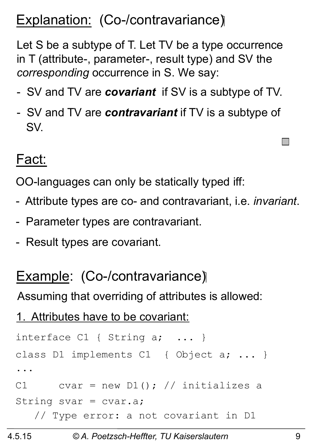# Explanation: (Co-/contravariance)

Let S be a subtype of T. Let TV be a type occurrence in T (attribute-, parameter-, result type) and SV the *corresponding* occurrence in S. We say:

- SV and TV are *covariant* if SV is a subtype of TV.
- SV and TV are *contravariant* if TV is a subtype of SV.

#### Fact:

OO-languages can only be statically typed iff:

- Attribute types are co- and contravariant, i.e. *invariant*.
- Parameter types are contravariant.
- Result types are covariant.

#### Example: (Co-/contravariance)

Assuming that overriding of attributes is allowed:

1. Attributes have to be covariant:

```
interface C1 { String a; ... }
class D1 implements C1 { Object a; ... } 
... 
C1 cvar = new D1(); // initializes a
String svar = cvar.a; 
    // Type error: a not covariant in D1
```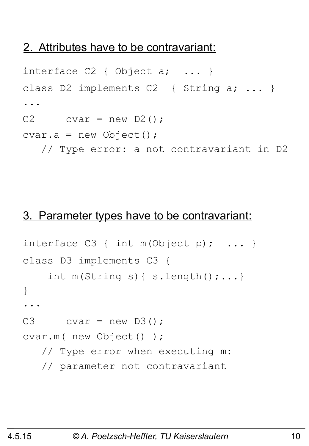#### 2. Attributes have to be contravariant:

```
interface C2 { Object a; ... }
class D2 implements C2 { String a; ... } 
... 
C2 cvar = new D2();
cvar.a = new Object();
    // Type error: a not contravariant in D2
```
#### 3. Parameter types have to be contravariant:

```
interface C3 \{ int m(Object p); ... \}class D3 implements C3 { 
    int m(String s) { s.length();...}
} 
... 
C3 cvar = new D3();
cvar.m( new Object() ); 
    // Type error when executing m: 
    // parameter not contravariant
```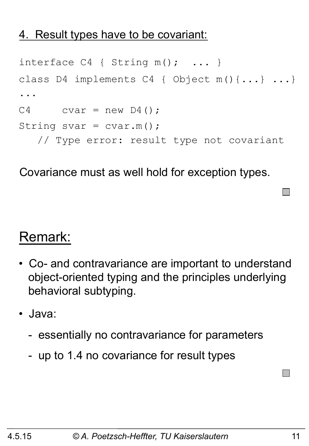#### 4. Result types have to be covariant:

```
interface C4 { String m(); ... }
class D4 implements C4 { Object m(){...} ...} 
... 
C4 cvar = new D4();
String svar = cvar.m();
    // Type error: result type not covariant
```
Covariance must as well hold for exception types.

#### Remark:

- Co- and contravariance are important to understand object-oriented typing and the principles underlying behavioral subtyping.
- Java:
	- essentially no contravariance for parameters
	- up to 1.4 no covariance for result types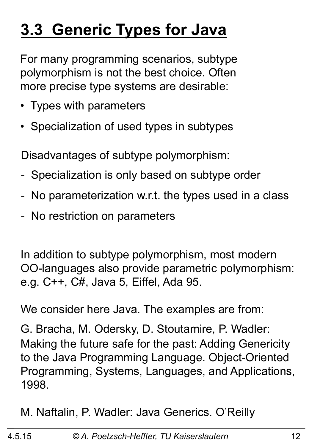# **3.3 Generic Types for Java**

For many programming scenarios, subtype polymorphism is not the best choice. Often more precise type systems are desirable:

- Types with parameters
- Specialization of used types in subtypes

Disadvantages of subtype polymorphism:

- Specialization is only based on subtype order
- No parameterization w.r.t. the types used in a class
- No restriction on parameters

In addition to subtype polymorphism, most modern OO-languages also provide parametric polymorphism: e.g. C++, C#, Java 5, Eiffel, Ada 95.

We consider here Java. The examples are from:

G. Bracha, M. Odersky, D. Stoutamire, P. Wadler: Making the future safe for the past: Adding Genericity to the Java Programming Language. Object-Oriented Programming, Systems, Languages, and Applications, 1998.

M. Naftalin, P. Wadler: Java Generics. O'Reilly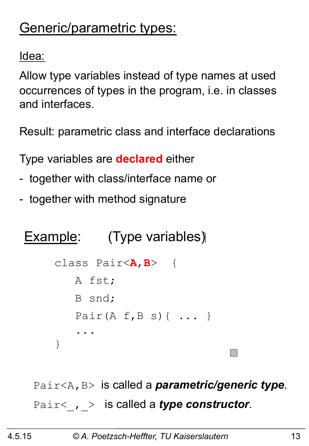# Generic/parametric types:

<u>Idea:</u>

Allow type variables instead of type names at used occurrences of types in the program, i.e. in classes and interfaces.

Result: parametric class and interface declarations

Type variables are **declared** either

- together with class/interface name or
- together with method signature

# Example: (Type variables)

```
class Pair<A,B> { 
    A fst; 
     B snd; 
    Pair(A f, B s) \{ \ldots \} ... 
}
```
Pair<A,B> is called a *parametric/generic type*. Pair< , > is called a *type constructor*.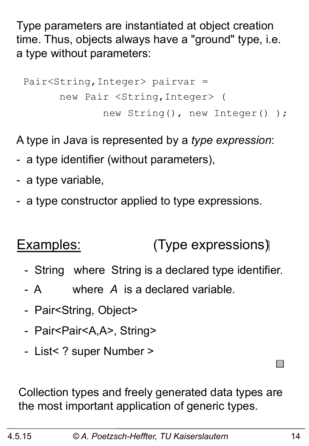Type parameters are instantiated at object creation time. Thus, objects always have a "ground" type, i.e. a type without parameters:

```
 Pair<String,Integer> pairvar = 
       new Pair <String,Integer> ( 
               new String(), new Integer() );
```
A type in Java is represented by a *type expression*:

- a type identifier (without parameters),
- a type variable,
- a type constructor applied to type expressions.

#### Examples: (Type expressions)

- String where String is a declared type identifier.
- A where *A* is a declared variable.
- Pair<String, Object>
- Pair<Pair<A,A>, String>
- List< ? super Number >

Collection types and freely generated data types are the most important application of generic types.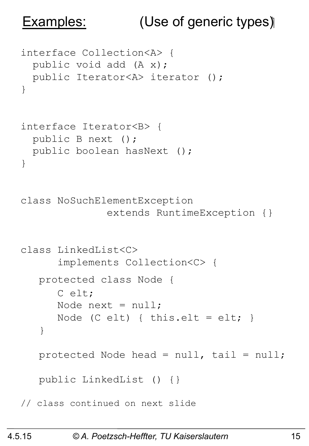# Examples: (Use of generic types)

```
interface Collection<A> { 
  public void add (A x);
   public Iterator<A> iterator (); 
} 
interface Iterator<B> { 
   public B next (); 
   public boolean hasNext (); 
} 
class NoSuchElementException 
                extends RuntimeException {} 
class LinkedList<C> 
       implements Collection<C> { 
    protected class Node { 
       C elt; 
      Node next = null:
      Node (C elt) { this.elt = elt; }
    } 
   protected Node head = null, tail = null; public LinkedList () {} 
// class continued on next slide
```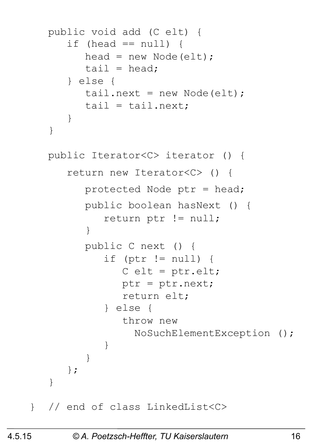```
 public void add (C elt) { 
      if (head == null) {
         head = new Node(elt);
         tail = head;
       } else { 
         tail.next = new Node(elt);
         tail = tail.next; } 
    }
```

```
 public Iterator<C> iterator () { 
       return new Iterator<C> () { 
          protected Node ptr = head; 
          public boolean hasNext () { 
             return ptr != null; 
 } 
          public C next () { 
             if (ptr != null) { 
               C elt = ptr.elt;
                ptr = ptr.next; 
                return elt; 
             } else { 
                throw new 
                  NoSuchElementException (); 
 } 
 } 
       }; 
 } 
} // end of class LinkedList<C>
```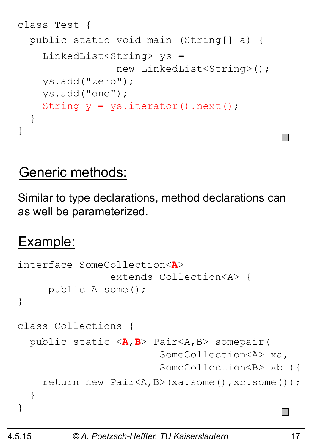```
class Test { 
   public static void main (String[] a) { 
     LinkedList<String> ys = 
                   new LinkedList<String>(); 
     ys.add("zero"); 
     ys.add("one"); 
    String y = ys.iterator() .next();
   } 
}
```
#### Generic methods:

Similar to type declarations, method declarations can as well be parameterized.

## Example:

```
interface SomeCollection<A> 
                 extends Collection<A> { 
      public A some(); 
} 
class Collections { 
   public static <A,B> Pair<A,B> somepair( 
                           SomeCollection<A> xa, 
                          SomeCollection<B> xb ){ 
     return new Pair<A,B>(xa.some(),xb.some()); 
   } 
}
```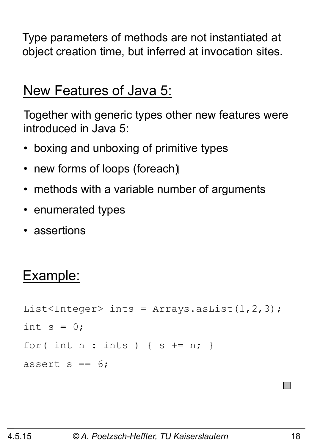Type parameters of methods are not instantiated at object creation time, but inferred at invocation sites.

#### New Features of Java 5:

Together with generic types other new features were introduced in Java 5:

- boxing and unboxing of primitive types
- new forms of loops (foreach)
- methods with a variable number of arguments
- enumerated types
- assertions

#### Example:

```
List<Integer> ints = Arrays.asList(1,2,3);
int s = 0;
for( int n : ints ) { s += n; }
assert s == 6;
```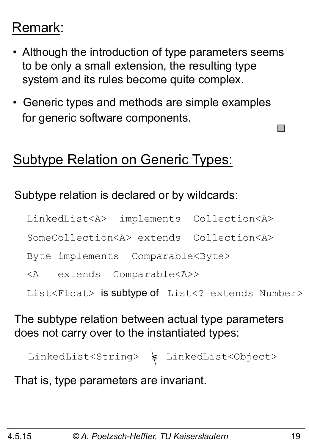# Remark:

- Although the introduction of type parameters seems to be only a small extension, the resulting type system and its rules become quite complex.
- Generic types and methods are simple examples for generic software components.

#### Subtype Relation on Generic Types:

#### Subtype relation is declared or by wildcards:

LinkedList<A> implements Collection<A>

SomeCollection<A> extends Collection<A>

Byte implements Comparable<Byte>

<A extends Comparable<A>>

List<Float> is subtype of List<? extends Number>

#### The subtype relation between actual type parameters does not carry over to the instantiated types:

LinkedList<String>  $\leftarrow$  LinkedList<Object>

That is, type parameters are invariant.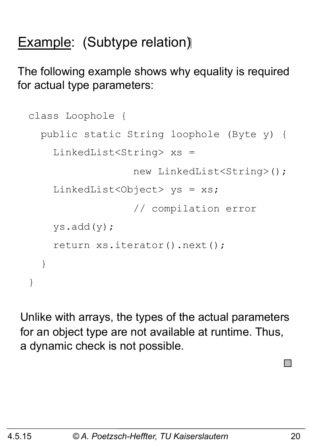# **Example: (Subtype relation)**

The following example shows why equality is required for actual type parameters:

```
class Loophole { 
   public static String loophole (Byte y) { 
     LinkedList<String> xs = 
                    new LinkedList<String>(); 
    LinkedList<Object> ys = xs;
                    // compilation error 
     ys.add(y); 
     return xs.iterator().next(); 
   } 
}
```
Unlike with arrays, the types of the actual parameters for an object type are not available at runtime. Thus, a dynamic check is not possible.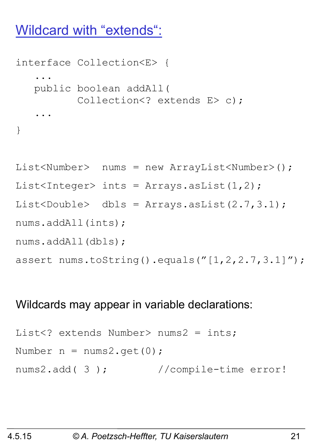#### Wildcard with "extends":

```
interface Collection<E> { 
 ... 
    public boolean addAll( 
          Collection<? extends E> c);
 ... 
}
```

```
List<Number> nums = new ArrayList<Number>();
List<Integer> ints = Arrays.asList(1,2);
List<Double> dbls = Arrays.asList(2.7,3.1); 
nums.addAll(ints); 
nums.addAll(dbls); 
assert nums.toString().equals("[1, 2, 2.7, 3.1]'");
```
#### Wildcards may appear in variable declarations:

```
List<? extends Number> nums2 = ints;
Number n = nums2.get(0);nums2.add( 3 ); //compile-time error!
```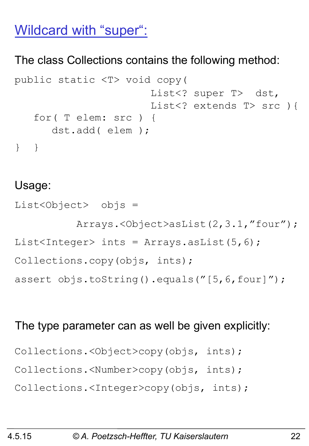#### Wildcard with "super":

#### The class Collections contains the following method:

```
public static <T> void copy( 
                        List<? super T> dst,
                        List<? extends T> src ) {
    for( T elem: src ) { 
       dst.add( elem ); 
} }
```
#### Usage:

List<Object> objs = Arrays.<Object>asList(2,3.1,"four"); List<Integer> ints = Arrays.asList(5,6); Collections.copy(objs, ints); assert objs.toString().equals("[5,6,four]");

#### The type parameter can as well be given explicitly:

```
Collections.<Object>copy(objs, ints); 
Collections.<Number>copy(objs, ints); 
Collections.<Integer>copy(objs, ints);
```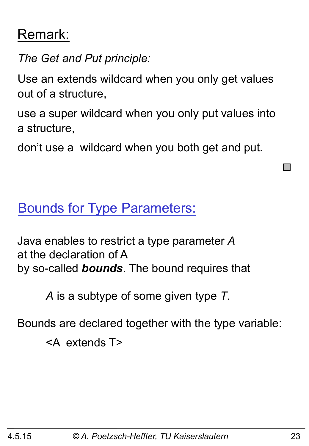#### Remark:

*The Get and Put principle:* 

Use an extends wildcard when you only get values out of a structure,

use a super wildcard when you only put values into a structure,

don't use a wildcard when you both get and put.

Bounds for Type Parameters:

Java enables to restrict a type parameter *A* at the declaration of A by so-called *bounds*. The bound requires that

*A* is a subtype of some given type *T*.

Bounds are declared together with the type variable:

<A extends T>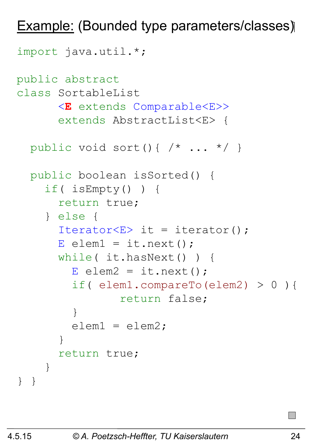Example: (Bounded type parameters/classes)

```
import java.util.*; 
public abstract 
class SortableList
       <E extends Comparable<E>> 
       extends AbstractList<E> { 
   public void sort(){ /* ... */ } 
   public boolean isSorted() { 
     if( isEmpty() ) { 
       return true; 
     } else { 
      Iterator<E> it = iterator();
      E elem1 = it.next();
       while( it.hasNext() ) { 
         E elem2 = it.next();
          if( elem1.compareTo(elem2) > 0 ){ 
                  return false; 
 } 
         \text{elem1} = \text{elem2}; } 
       return true; 
     } 
} }
```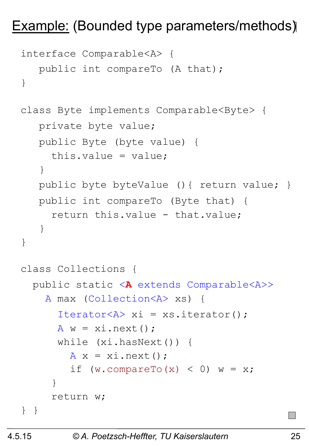#### Example: (Bounded type parameters/methods)

```
interface Comparable<A> { 
   public int compareTo (A that);
} 
class Byte implements Comparable<Byte> { 
    private byte value; 
    public Byte (byte value) { 
      this.value = value; 
    } 
   public byte byteValue () { return value; }
    public int compareTo (Byte that) { 
      return this.value - that.value; 
    } 
} 
class Collections { 
   public static <A extends Comparable<A>> 
     A max (Collection<A> xs) { 
       Iterator<A> xi = xs.iterator(); 
      A w = x i.next();
       while (xi.hasNext()) { 
        A x = x i.next();
         if (w.\text{compareTo}(x) < 0) w = x; } 
      return w; 
} }
```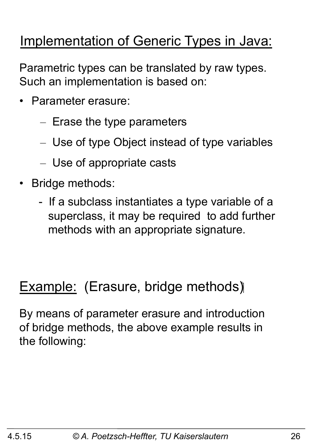# Implementation of Generic Types in Java:

Parametric types can be translated by raw types. Such an implementation is based on:

- Parameter erasure:
	- Erase the type parameters
	- Use of type Object instead of type variables
	- Use of appropriate casts
- Bridge methods:
	- If a subclass instantiates a type variable of a superclass, it may be required to add further methods with an appropriate signature.

#### Example: (Erasure, bridge methods)

By means of parameter erasure and introduction of bridge methods, the above example results in the following: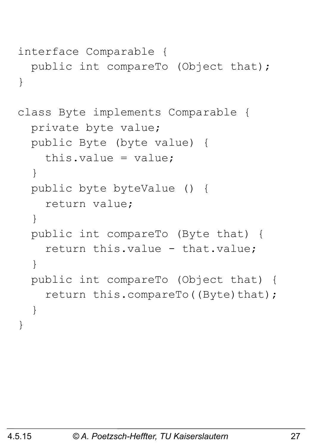```
interface Comparable { 
   public int compareTo (Object that); 
}
```

```
class Byte implements Comparable { 
   private byte value; 
   public Byte (byte value) { 
    this.value = value;
   } 
   public byte byteValue () { 
     return value; 
   } 
   public int compareTo (Byte that) { 
    return this.value - that.value;
   } 
   public int compareTo (Object that) { 
    return this.compareTo((Byte)that);
   } 
}
```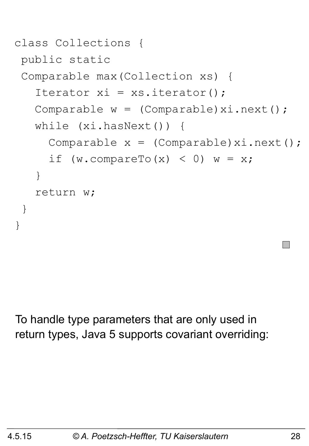```
class Collections { 
 public static 
  Comparable max(Collection xs) { 
   Iterator xi = xs.iterator();
   Comparable w = (Compact)xi.next();
    while (xi.hasNext()) { 
     Comparable x = (Compact)xi.next();
     if (w.\text{compareTo}(x) < 0) w = x; } 
    return w; 
  } 
}
```
To handle type parameters that are only used in return types, Java 5 supports covariant overriding: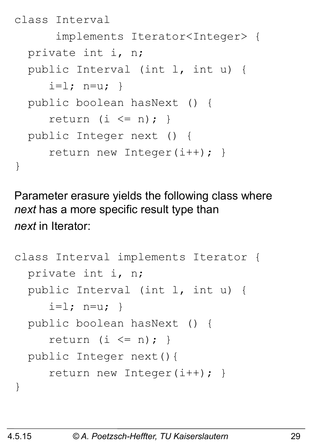```
class Interval 
       implements Iterator<Integer> { 
   private int i, n; 
   public Interval (int l, int u) { 
     i=1; n=u; public boolean hasNext () { 
     return (i \leq n); public Integer next () { 
      return new Integer(i++); } 
}
```
Parameter erasure yields the following class where *next* has a more specific result type than *next* in Iterator:

```
class Interval implements Iterator { 
   private int i, n; 
   public Interval (int l, int u) { 
     i=1; n=u; public boolean hasNext () { 
     return (i \leq n); public Integer next(){ 
      return new Integer(i++); } 
}
```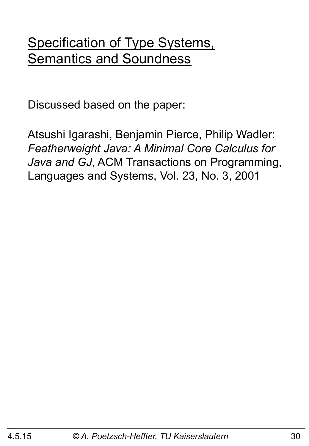#### Specification of Type Systems, Semantics and Soundness

Discussed based on the paper:

Atsushi Igarashi, Benjamin Pierce, Philip Wadler: *Featherweight Java: A Minimal Core Calculus for Java and GJ*, ACM Transactions on Programming, Languages and Systems, Vol. 23, No. 3, 2001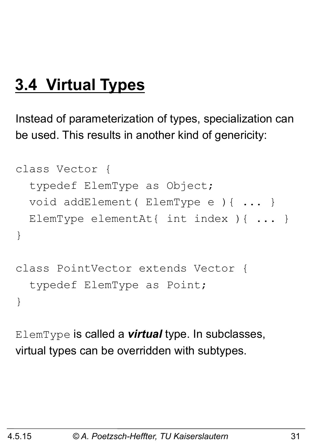# **3.4 Virtual Types**

Instead of parameterization of types, specialization can be used. This results in another kind of genericity:

```
class Vector { 
   typedef ElemType as Object; 
   void addElement( ElemType e ){ ... } 
   ElemType elementAt{ int index ){ ... } 
} 
class PointVector extends Vector { 
   typedef ElemType as Point;
```
}

ElemType is called a *virtual* type. In subclasses, virtual types can be overridden with subtypes.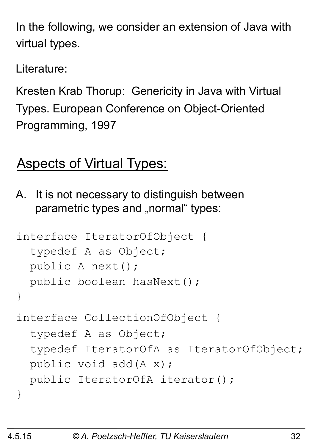In the following, we consider an extension of Java with virtual types.

Literature:

Kresten Krab Thorup: Genericity in Java with Virtual Types. European Conference on Object-Oriented Programming, 1997

# Aspects of Virtual Types:

A. It is not necessary to distinguish between parametric types and "normal" types:

```
interface IteratorOfObject { 
   typedef A as Object; 
   public A next(); 
   public boolean hasNext(); 
} 
interface CollectionOfObject { 
   typedef A as Object; 
   typedef IteratorOfA as IteratorOfObject; 
   public void add(A x); 
   public IteratorOfA iterator(); 
}
```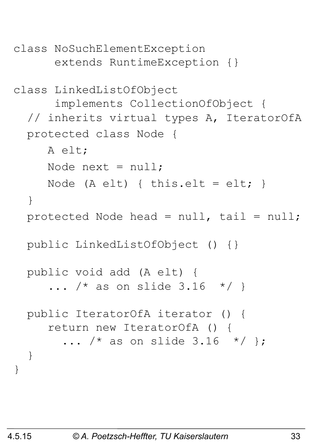```
class NoSuchElementException 
       extends RuntimeException {} 
class LinkedListOfObject 
       implements CollectionOfObject { 
   // inherits virtual types A, IteratorOfA 
   protected class Node { 
      A elt; 
     Node next = null;Node (A elt) { this.elt = elt; }
   } 
   protected Node head = null, tail = null; 
   public LinkedListOfObject () {} 
   public void add (A elt) { 
     ... /* as on slide 3.16 */ }
   public IteratorOfA iterator () { 
      return new IteratorOfA () { 
       ... /* as on slide 3.16 */ };
   } 
}
```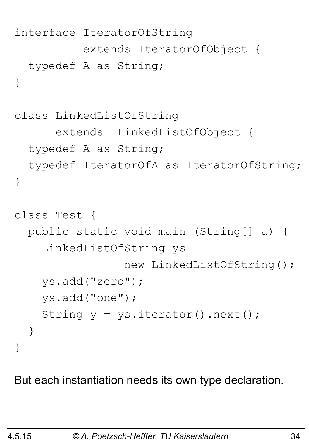```
interface IteratorOfString 
            extends IteratorOfObject { 
   typedef A as String; 
} 
class LinkedListOfString 
       extends LinkedListOfObject { 
   typedef A as String; 
   typedef IteratorOfA as IteratorOfString; 
} 
class Test { 
   public static void main (String[] a) { 
     LinkedListOfString ys = 
                   new LinkedListOfString(); 
     ys.add("zero"); 
     ys.add("one"); 
    String y = ys.iterator() .next();
   } 
}
```
But each instantiation needs its own type declaration.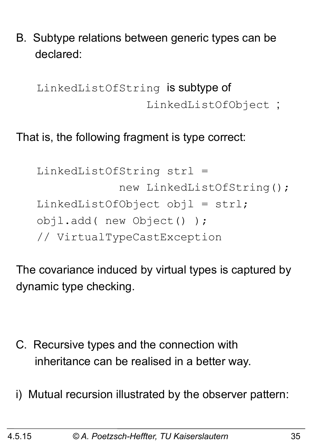B. Subtype relations between generic types can be declared:

 LinkedListOfString is subtype of LinkedListOfObject ;

#### That is, the following fragment is type correct:

```
 LinkedListOfString strl = 
              new LinkedListOfString(); 
LinkedListOfObject obj1 = str1; objl.add( new Object() ); 
 // VirtualTypeCastException
```
The covariance induced by virtual types is captured by dynamic type checking.

- C. Recursive types and the connection with inheritance can be realised in a better way.
- i) Mutual recursion illustrated by the observer pattern: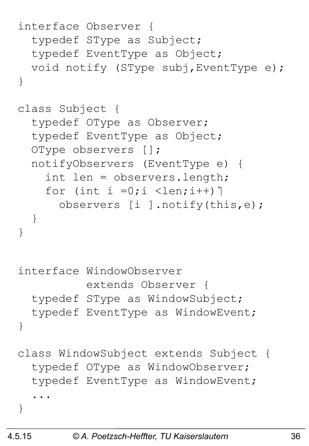```
interface Observer { 
   typedef SType as Subject; 
   typedef EventType as Object; 
   void notify (SType subj,EventType e); 
} 
class Subject { 
   typedef OType as Observer; 
   typedef EventType as Object; 
   OType observers []; 
   notifyObservers (EventType e) { 
     int len = observers.length; 
    for (int i =0;i <len;i++) \uparrow observers [i ].notify(this,e); 
   } 
} 
interface WindowObserver 
            extends Observer { 
   typedef SType as WindowSubject; 
   typedef EventType as WindowEvent; 
} 
class WindowSubject extends Subject { 
   typedef OType as WindowObserver; 
   typedef EventType as WindowEvent; 
 ... 
}
```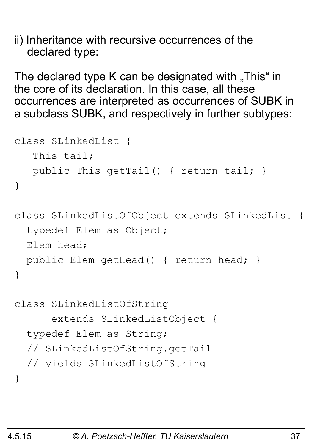ii) Inheritance with recursive occurrences of the declared type:

The declared type K can be designated with  $\sqrt{n}$ This" in the core of its declaration. In this case, all these occurrences are interpreted as occurrences of SUBK in a subclass SUBK, and respectively in further subtypes:

```
class SLinkedList { 
    This tail; 
    public This getTail() { return tail; } 
} 
class SLinkedListOfObject extends SLinkedList { 
   typedef Elem as Object; 
   Elem head; 
   public Elem getHead() { return head; } 
} 
class SLinkedListOfString 
       extends SLinkedListObject { 
   typedef Elem as String;
```

```
 // SLinkedListOfString.getTail
```

```
 // yields SLinkedListOfString
```
}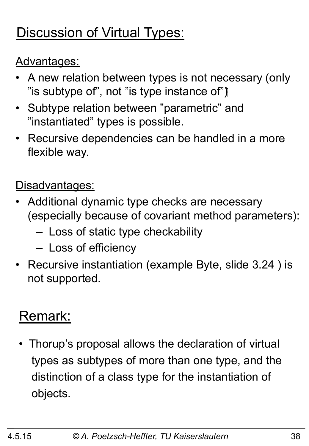# Discussion of Virtual Types:

#### Advantages:

- A new relation between types is not necessary (only "is subtype of", not "is type instance of")
- Subtype relation between "parametric" and "instantiated" types is possible.
- Recursive dependencies can be handled in a more flexible way.

#### Disadvantages:

- Additional dynamic type checks are necessary (especially because of covariant method parameters):
	- Loss of static type checkability
	- Loss of efficiency
- Recursive instantiation (example Byte, slide 3.24 ) is not supported.

# Remark:

• Thorup's proposal allows the declaration of virtual types as subtypes of more than one type, and the distinction of a class type for the instantiation of objects.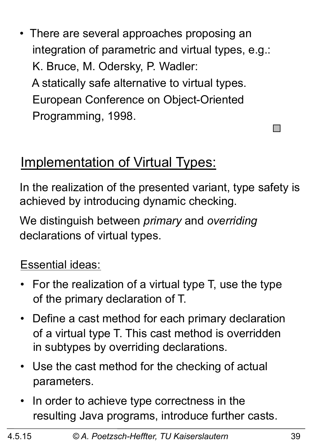• There are several approaches proposing an integration of parametric and virtual types, e.g.: K. Bruce, M. Odersky, P. Wadler: A statically safe alternative to virtual types. European Conference on Object-Oriented Programming, 1998.

# Implementation of Virtual Types:

In the realization of the presented variant, type safety is achieved by introducing dynamic checking.

We distinguish between *primary* and *overriding*  declarations of virtual types.

#### Essential ideas:

- For the realization of a virtual type T, use the type of the primary declaration of T.
- Define a cast method for each primary declaration of a virtual type T. This cast method is overridden in subtypes by overriding declarations.
- Use the cast method for the checking of actual parameters.
- In order to achieve type correctness in the resulting Java programs, introduce further casts.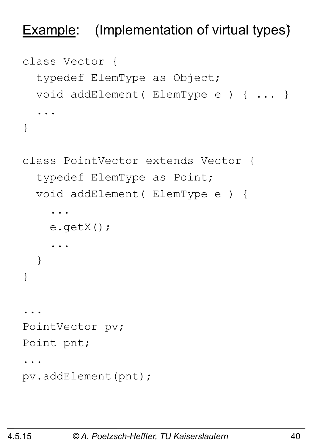#### **Example:** (Implementation of virtual types)

```
class Vector { 
   typedef ElemType as Object; 
   void addElement( ElemType e ) { ... } 
 ... 
}
```

```
class PointVector extends Vector { 
   typedef ElemType as Point; 
   void addElement( ElemType e ) { 
 ... 
     e.getX(); 
 ... 
   } 
} 
... 
PointVector pv; 
Point pnt; 
... 
pv.addElement(pnt);
```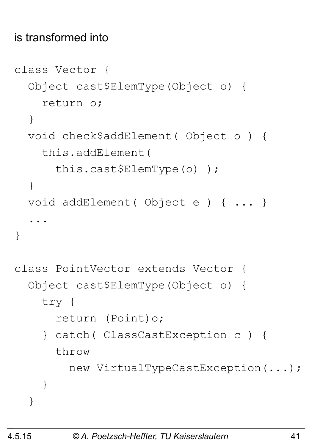#### is transformed into

```
class Vector { 
   Object cast$ElemType(Object o) { 
     return o; 
   } 
   void check$addElement( Object o ) { 
     this.addElement( 
       this.cast$ElemType(o) ); 
   } 
   void addElement( Object e ) { ... } 
 ... 
} 
class PointVector extends Vector { 
   Object cast$ElemType(Object o) { 
     try { 
       return (Point)o; 
     } catch( ClassCastException c ) { 
       throw 
          new VirtualTypeCastException(...); 
 } 
   }
```